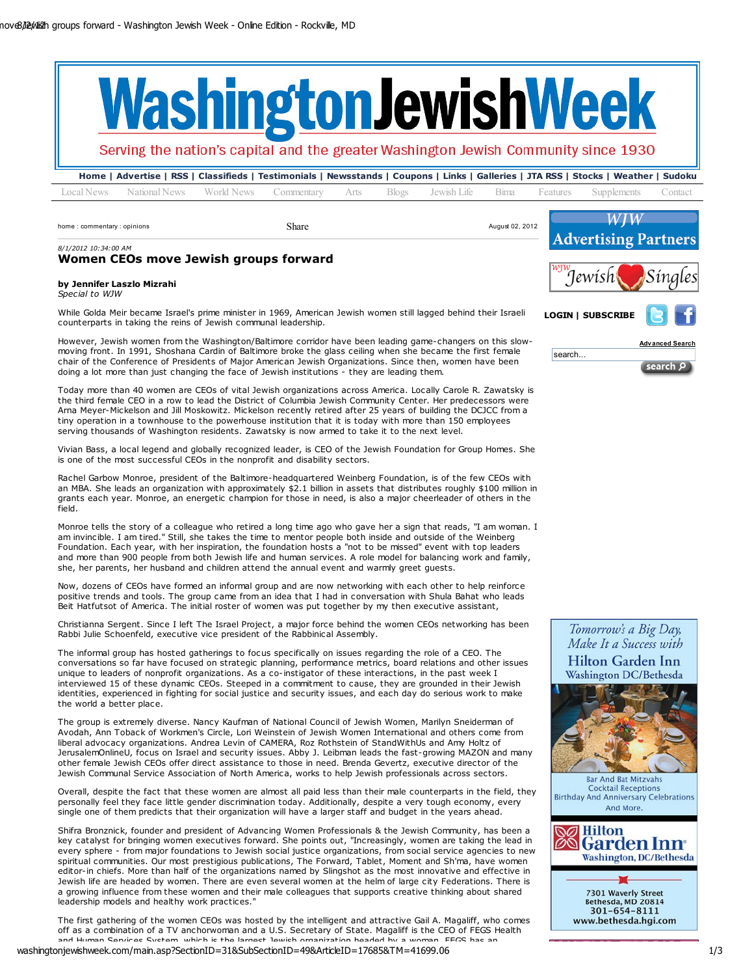

Serving the nation's capital and the greater Washington Jewish Community since 1930

Home | Advertise | RSS | Classifieds | Testimonials | Newsstands | Coupons | Links | Galleries | JTA RSS | Stocks | Weather | Sudoku Local News National News World News Commentary Arts Blogs Jewish Life Bima Features Supplements Contact

home : commentary : opinions and the state of the Share August 02, 2012 Share August 02, 2012

8/1/2012 10:34:00 AM



Advanced Search

search P

LOGIN | SUBSCRIBE

search..

# Women CEOs move Jewish groups forward

### by Jennifer Laszlo Mizrahi Special to WJW

While Golda Meir became Israel's prime minister in 1969, American Jewish women still lagged behind their Israeli counterparts in taking the reins of Jewish communal leadership.

However, Jewish women from the Washington/Baltimore corridor have been leading game-changers on this slow moving front. In 1991, Shoshana Cardin of Baltimore broke the glass ceiling when she became the first female chair of the Conference of Presidents of Major American Jewish Organizations. Since then, women have been doing a lot more than just changing the face of Jewish institutions - they are leading them.

Today more than 40 women are CEOs of vital Jewish organizations across America. Locally Carole R. Zawatsky is the third female CEO in a row to lead the District of Columbia Jewish Community Center. Her predecessors were Arna Meyer-Mickelson and Jill Moskowitz. Mickelson recently retired after 25 years of building the DCJCC from a tiny operation in a townhouse to the powerhouse institution that it is today with more than 150 employees serving thousands of Washington residents. Zawatsky is now armed to take it to the next level.

Vivian Bass, a local legend and globally recognized leader, is CEO of the Jewish Foundation for Group Homes. She is one of the most successful CEOs in the nonprofit and disability sectors.

Rachel Garbow Monroe, president of the Baltimore-headquartered Weinberg Foundation, is of the few CEOs with an MBA. She leads an organization with approximately \$2.1 billion in assets that distributes roughly \$100 million in grants each year. Monroe, an energetic champion for those in need, is also a major cheerleader of others in the field.

Monroe tells the story of a colleague who retired a long time ago who gave her a sign that reads, "I am woman. I am invincible. I am tired." Still, she takes the time to mentor people both inside and outside of the Weinberg Foundation. Each year, with her inspiration, the foundation hosts a "not to be missed" event with top leaders and more than 900 people from both Jewish life and human services. A role model for balancing work and family, she, her parents, her husband and children attend the annual event and warmly greet guests.

Now, dozens of CEOs have formed an informal group and are now networking with each other to help reinforce positive trends and tools. The group came from an idea that I had in conversation with Shula Bahat who leads Beit Hatfutsot of America. The initial roster of women was put together by my then executive assistant,

Christianna Sergent. Since I left The Israel Project, a major force behind the women CEOs networking has been Rabbi Julie Schoenfeld, executive vice president of the Rabbinical Assembly.

The informal group has hosted gatherings to focus specifically on issues regarding the role of a CEO. The conversations so far have focused on strategic planning, performance metrics, board relations and other issues unique to leaders of nonprofit organizations. As a co-instigator of these interactions, in the past week I interviewed 15 of these dynamic CEOs. Steeped in a commitment to cause, they are grounded in their Jewish identities, experienced in fighting for social justice and security issues, and each day do serious work to make the world a better place.

The group is extremely diverse. Nancy Kaufman of National Council of Jewish Women, Marilyn Sneiderman of Avodah, Ann Toback of Workmen's Circle, Lori Weinstein of Jewish Women International and others come from liberal advocacy organizations. Andrea Levin of CAMERA, Roz Rothstein of StandWithUs and Amy Holtz of JerusalemOnlineU, focus on Israel and security issues. Abby J. Leibman leads the fast-growing MAZON and many other female Jewish CEOs offer direct assistance to those in need. Brenda Gevertz, executive director of the Jewish Communal Service Association of North America, works to help Jewish professionals across sectors.

Overall, despite the fact that these women are almost all paid less than their male counterparts in the field, they personally feel they face little gender discrimination today. Additionally, despite a very tough economy, every single one of them predicts that their organization will have a larger staff and budget in the years ahead.

Shifra Bronznick, founder and president of Advancing Women Professionals & the Jewish Community, has been a key catalyst for bringing women executives forward. She points out, "Increasingly, women are taking the lead in every sphere - from major foundations to Jewish social justice organizations, from social service agencies to new spiritual communities. Our most prestigious publications, The Forward, Tablet, Moment and Sh'ma, have women editor-in chiefs. More than half of the organizations named by Slingshot as the most innovative and effective in Jewish life are headed by women. There are even several women at the helm of large city Federations. There is a growing influence from these women and their male colleagues that supports creative thinking about shared leadership models and healthy work practices."

The first gathering of the women CEOs was hosted by the intelligent and attractive Gail A. Magaliff, who comes off as a combination of a TV anchorwoman and a U.S. Secretary of State. Magaliff is the CEO of FEGS Health and Human Convices System, which is the largest Jewish organization headed by a woman. FEGS has an

washingtonjewishweek.com/main.asp?SectionID=31&SubSectionID=49&ArticleID=17685&TM=41699.06 1/3









7301 Waverly Street<br>Bethesda, MD 20814 301-654-8111 www.bethesda.hgi.com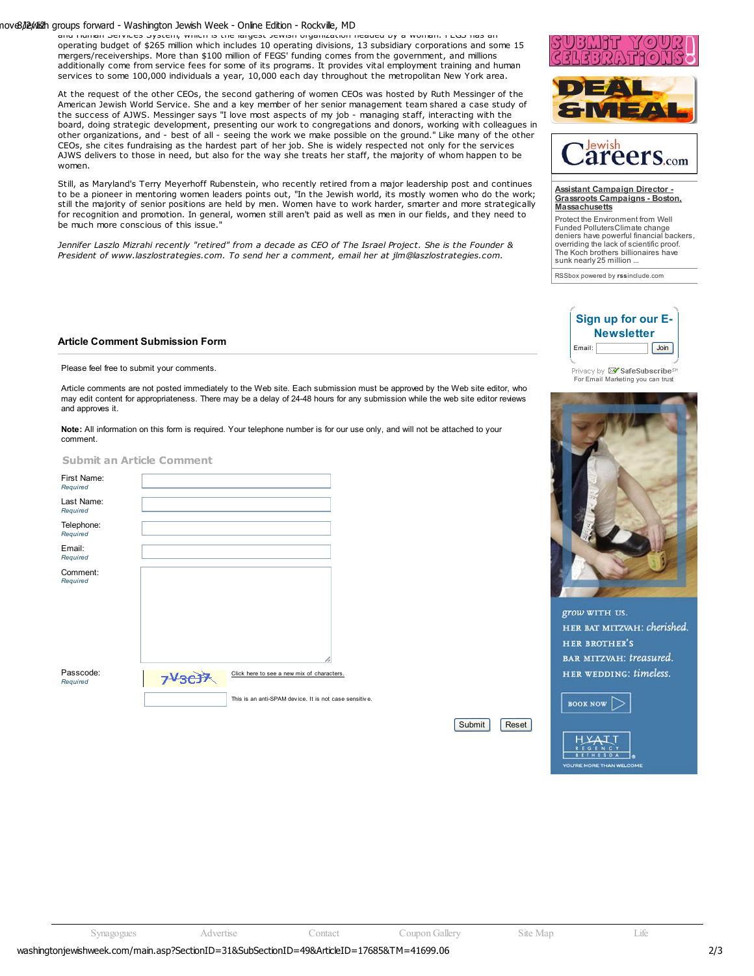## nove8/J2p/dis2h groups forward - Washington Jewish Week - Online Edition - Rockville, MD

and Human Services System, which is the largest Jewish organization headed by a woman. FEGS has an operating budget of \$265 million which includes 10 operating divisions, 13 subsidiary corporations and some 15 mergers/receiverships. More than \$100 million of FEGS' funding comes from the government, and millions additionally come from service fees for some of its programs. It provides vital employment training and human services to some 100,000 individuals a year, 10,000 each day throughout the metropolitan New York area.

At the request of the other CEOs, the second gathering of women CEOs was hosted by Ruth Messinger of the American Jewish World Service. She and a key member of her senior management team shared a case study of the success of AJWS. Messinger says "I love most aspects of my job - managing staff, interacting with the board, doing strategic development, presenting our work to congregations and donors, working with colleagues in other organizations, and - best of all - seeing the work we make possible on the ground." Like many of the other CEOs, she cites fundraising as the hardest part of her job. She is widely respected not only for the services AJWS delivers to those in need, but also for the way she treats her staff, the majority of whom happen to be women.

Still, as Maryland's Terry Meyerhoff Rubenstein, who recently retired from a major leadership post and continues to be a pioneer in mentoring women leaders points out, "In the Jewish world, its mostly women who do the work; still the majority of senior positions are held by men. Women have to work harder, smarter and more strategically for recognition and promotion. In general, women still aren't paid as well as men in our fields, and they need to be much more conscious of this issue."

Jennifer Laszlo Mizrahi recently "retired" from a decade as CEO of The Israel Project. She is the Founder & President of www.laszlostrategies.com. To send her a comment, email her at jlm@laszlostrategies.com.







### Assistant Campaign Director - Grassroots Campaigns - Boston, **Massachusetts**

Protect the Environment from Well Funded Polluters Climate change deniers have powerful financial backers, overriding the lack of scientific proof. The Koch brothers billionaires have sunk nearly 25 million ...

RSSbox powered by rssinclude.com

## Article Comment Submission Form

Please feel free to submit your comments.

Article comments are not posted immediately to the Web site. Each submission must be approved by the Web site editor, who may edit content for appropriateness. There may be a delay of 24-48 hours for any submission while the web site editor reviews and approves it.

Note: All information on this form is required. Your telephone number is for our use only, and will not be attached to your comment.

|  | <b>Submit an Article Comment</b> |  |
|--|----------------------------------|--|
|  |                                  |  |

| First Name:<br>Required |                                                       |  |
|-------------------------|-------------------------------------------------------|--|
| Last Name:<br>Required  |                                                       |  |
| Telephone:<br>Required  |                                                       |  |
| Email:<br>Required      |                                                       |  |
| Comment:<br>Required    |                                                       |  |
| Passcode:<br>Required   | Click here to see a new mix of characters.            |  |
|                         | This is an anti-SPAM device. It is not case sensitive |  |

Sign up for our E-**Newsletter** Email: Join

Frivacy by **X SafeSubscribe**<sup>SM</sup><br>For Email Marketing you can trust



grow WITH US. HER BAT MITZVAH: cherished. **HER BROTHER'S** BAR MITZVAH: treasured. HER WEDDING: timeless.



**SETHESDA** 

Submit | Reset